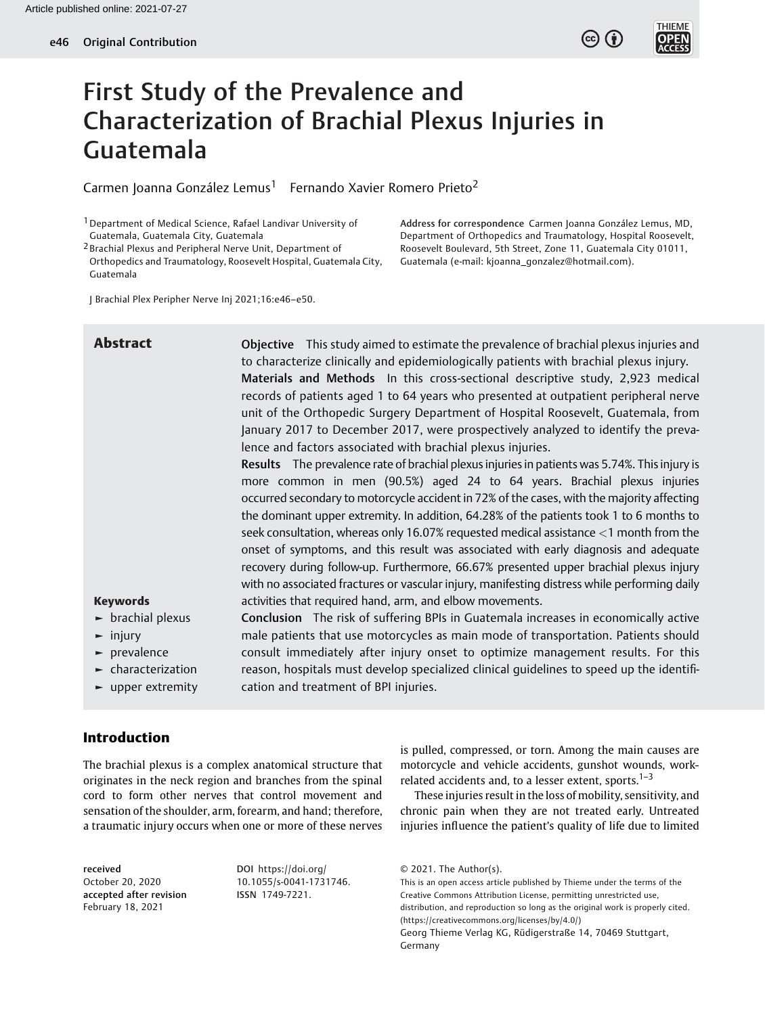

**THIEME** 

# First Study of the Prevalence and Characterization of Brachial Plexus Injuries in Guatemala

Carmen Joanna González Lemus<sup>1</sup> Fernando Xavier Romero Prieto<sup>2</sup>

1Department of Medical Science, Rafael Landivar University of Guatemala, Guatemala City, Guatemala

2 Brachial Plexus and Peripheral Nerve Unit, Department of Orthopedics and Traumatology, Roosevelt Hospital, Guatemala City, Guatemala

Address for correspondence Carmen Joanna González Lemus, MD, Department of Orthopedics and Traumatology, Hospital Roosevelt, Roosevelt Boulevard, 5th Street, Zone 11, Guatemala City 01011, Guatemala (e-mail: [kjoanna\\_gonzalez@hotmail.com](mailto:kjoanna_gonzalez@hotmail.com)).

J Brachial Plex Peripher Nerve Inj 2021;16:e46–e50.

| <b>Abstract</b>                                                                 | Objective This study aimed to estimate the prevalence of brachial plexus injuries and<br>to characterize clinically and epidemiologically patients with brachial plexus injury.<br>Materials and Methods In this cross-sectional descriptive study, 2,923 medical<br>records of patients aged 1 to 64 years who presented at outpatient peripheral nerve<br>unit of the Orthopedic Surgery Department of Hospital Roosevelt, Guatemala, from                                                                                                                                                                                                                                                                                                |
|---------------------------------------------------------------------------------|---------------------------------------------------------------------------------------------------------------------------------------------------------------------------------------------------------------------------------------------------------------------------------------------------------------------------------------------------------------------------------------------------------------------------------------------------------------------------------------------------------------------------------------------------------------------------------------------------------------------------------------------------------------------------------------------------------------------------------------------|
|                                                                                 | January 2017 to December 2017, were prospectively analyzed to identify the preva-                                                                                                                                                                                                                                                                                                                                                                                                                                                                                                                                                                                                                                                           |
|                                                                                 | lence and factors associated with brachial plexus injuries.                                                                                                                                                                                                                                                                                                                                                                                                                                                                                                                                                                                                                                                                                 |
|                                                                                 | Results The prevalence rate of brachial plexus injuries in patients was 5.74%. This injury is<br>more common in men (90.5%) aged 24 to 64 years. Brachial plexus injuries<br>occurred secondary to motorcycle accident in 72% of the cases, with the majority affecting<br>the dominant upper extremity. In addition, 64.28% of the patients took 1 to 6 months to<br>seek consultation, whereas only 16.07% requested medical assistance <1 month from the<br>onset of symptoms, and this result was associated with early diagnosis and adequate<br>recovery during follow-up. Furthermore, 66.67% presented upper brachial plexus injury<br>with no associated fractures or vascular injury, manifesting distress while performing daily |
| <b>Keywords</b>                                                                 | activities that required hand, arm, and elbow movements.                                                                                                                                                                                                                                                                                                                                                                                                                                                                                                                                                                                                                                                                                    |
| $\blacktriangleright$ brachial plexus                                           | <b>Conclusion</b> The risk of suffering BPIs in Guatemala increases in economically active                                                                                                                                                                                                                                                                                                                                                                                                                                                                                                                                                                                                                                                  |
| $\blacktriangleright$ injury                                                    | male patients that use motorcycles as main mode of transportation. Patients should                                                                                                                                                                                                                                                                                                                                                                                                                                                                                                                                                                                                                                                          |
| $\blacktriangleright$ prevalence                                                | consult immediately after injury onset to optimize management results. For this                                                                                                                                                                                                                                                                                                                                                                                                                                                                                                                                                                                                                                                             |
| $\blacktriangleright$ characterization<br>$\blacktriangleright$ upper extremity | reason, hospitals must develop specialized clinical guidelines to speed up the identifi-<br>cation and treatment of BPI injuries.                                                                                                                                                                                                                                                                                                                                                                                                                                                                                                                                                                                                           |
|                                                                                 |                                                                                                                                                                                                                                                                                                                                                                                                                                                                                                                                                                                                                                                                                                                                             |

# Introduction

The brachial plexus is a complex anatomical structure that originates in the neck region and branches from the spinal cord to form other nerves that control movement and sensation of the shoulder, arm, forearm, and hand; therefore, a traumatic injury occurs when one or more of these nerves

received October 20, 2020 accepted after revision February 18, 2021

DOI [https://doi.org/](https://doi.org/10.1055/s-0041-1731746) [10.1055/s-0041-1731746](https://doi.org/10.1055/s-0041-1731746). ISSN 1749-7221.

is pulled, compressed, or torn. Among the main causes are motorcycle and vehicle accidents, gunshot wounds, workrelated accidents and, to a lesser extent, sports. $1-3$ 

These injuries result in the loss of mobility, sensitivity, and chronic pain when they are not treated early. Untreated injuries influence the patient's quality of life due to limited

This is an open access article published by Thieme under the terms of the Creative Commons Attribution License, permitting unrestricted use, distribution, and reproduction so long as the original work is properly cited. (https://creativecommons.org/licenses/by/4.0/) Georg Thieme Verlag KG, Rüdigerstraße 14, 70469 Stuttgart, Germany

<sup>© 2021.</sup> The Author(s).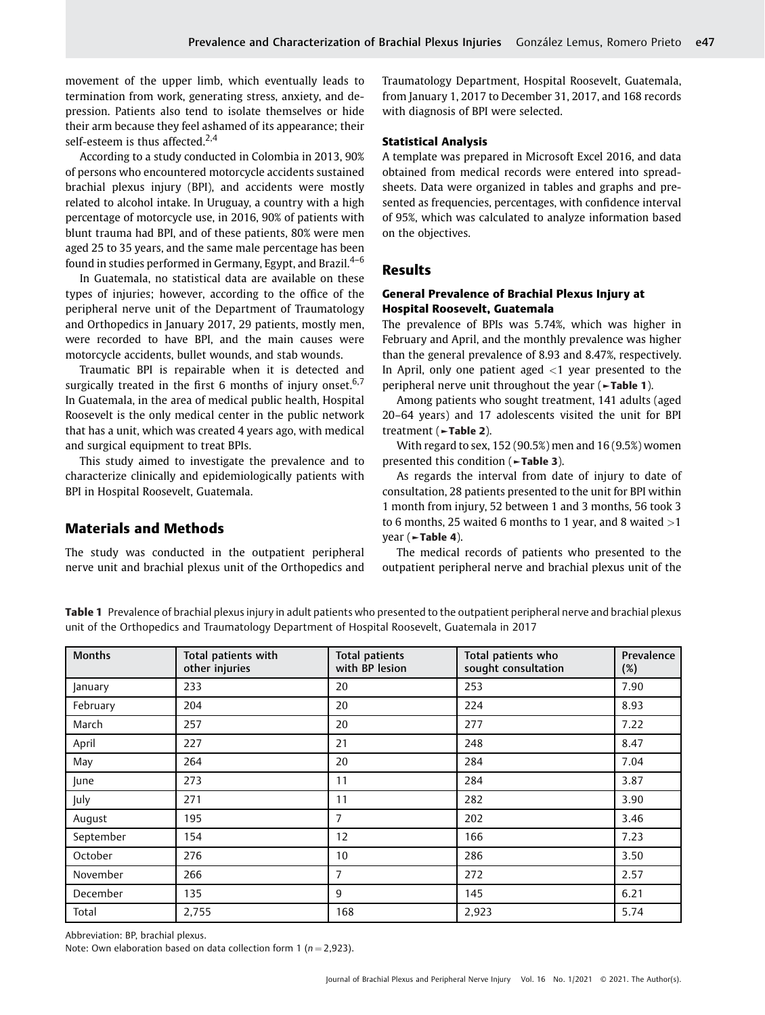movement of the upper limb, which eventually leads to termination from work, generating stress, anxiety, and depression. Patients also tend to isolate themselves or hide their arm because they feel ashamed of its appearance; their self-esteem is thus affected.<sup>2,4</sup>

According to a study conducted in Colombia in 2013, 90% of persons who encountered motorcycle accidents sustained brachial plexus injury (BPI), and accidents were mostly related to alcohol intake. In Uruguay, a country with a high percentage of motorcycle use, in 2016, 90% of patients with blunt trauma had BPI, and of these patients, 80% were men aged 25 to 35 years, and the same male percentage has been found in studies performed in Germany, Egypt, and Brazil.<sup>4-6</sup>

In Guatemala, no statistical data are available on these types of injuries; however, according to the office of the peripheral nerve unit of the Department of Traumatology and Orthopedics in January 2017, 29 patients, mostly men, were recorded to have BPI, and the main causes were motorcycle accidents, bullet wounds, and stab wounds.

Traumatic BPI is repairable when it is detected and surgically treated in the first 6 months of injury onset.<sup>6,7</sup> In Guatemala, in the area of medical public health, Hospital Roosevelt is the only medical center in the public network that has a unit, which was created 4 years ago, with medical and surgical equipment to treat BPIs.

This study aimed to investigate the prevalence and to characterize clinically and epidemiologically patients with BPI in Hospital Roosevelt, Guatemala.

### Materials and Methods

The study was conducted in the outpatient peripheral nerve unit and brachial plexus unit of the Orthopedics and Traumatology Department, Hospital Roosevelt, Guatemala, from January 1, 2017 to December 31, 2017, and 168 records with diagnosis of BPI were selected.

#### Statistical Analysis

A template was prepared in Microsoft Excel 2016, and data obtained from medical records were entered into spreadsheets. Data were organized in tables and graphs and presented as frequencies, percentages, with confidence interval of 95%, which was calculated to analyze information based on the objectives.

#### Results

#### General Prevalence of Brachial Plexus Injury at Hospital Roosevelt, Guatemala

The prevalence of BPIs was 5.74%, which was higher in February and April, and the monthly prevalence was higher than the general prevalence of 8.93 and 8.47%, respectively. In April, only one patient aged  $\langle 1 \rangle$  year presented to the peripheral nerve unit throughout the year (►Table 1).

Among patients who sought treatment, 141 adults (aged 20–64 years) and 17 adolescents visited the unit for BPI treatment (►Table 2).

With regard to sex, 152 (90.5%) men and 16 (9.5%) women presented this condition (►Table 3).

As regards the interval from date of injury to date of consultation, 28 patients presented to the unit for BPI within 1 month from injury, 52 between 1 and 3 months, 56 took 3 to 6 months, 25 waited 6 months to 1 year, and 8 waited  $>1$ year (►Table 4).

The medical records of patients who presented to the outpatient peripheral nerve and brachial plexus unit of the

Table 1 Prevalence of brachial plexus injury in adult patients who presented to the outpatient peripheral nerve and brachial plexus unit of the Orthopedics and Traumatology Department of Hospital Roosevelt, Guatemala in 2017

| <b>Months</b>  | Total patients with | <b>Total patients</b> | Total patients who  | Prevalence |
|----------------|---------------------|-----------------------|---------------------|------------|
|                | other injuries      | with BP lesion        | sought consultation | (%)        |
| <b>January</b> | 233                 | 20                    | 253                 | 7.90       |
| February       | 204                 | 20                    | 224                 | 8.93       |
| March          | 257                 | 20                    | 277                 | 7.22       |
| April          | 227                 | 21                    | 248                 | 8.47       |
| May            | 264                 | 20                    | 284                 | 7.04       |
| <b>June</b>    | 273                 | 11                    | 284                 | 3.87       |
| July           | 271                 | 11                    | 282                 | 3.90       |
| August         | 195                 | 7                     | 202                 | 3.46       |
| September      | 154                 | 12                    | 166                 | 7.23       |
| October        | 276                 | 10                    | 286                 | 3.50       |
| November       | 266                 | 7                     | 272                 | 2.57       |
| December       | 135                 | 9                     | 145                 | 6.21       |
| Total          | 2,755               | 168                   | 2,923               | 5.74       |

Abbreviation: BP, brachial plexus.

Note: Own elaboration based on data collection form 1 ( $n = 2,923$ ).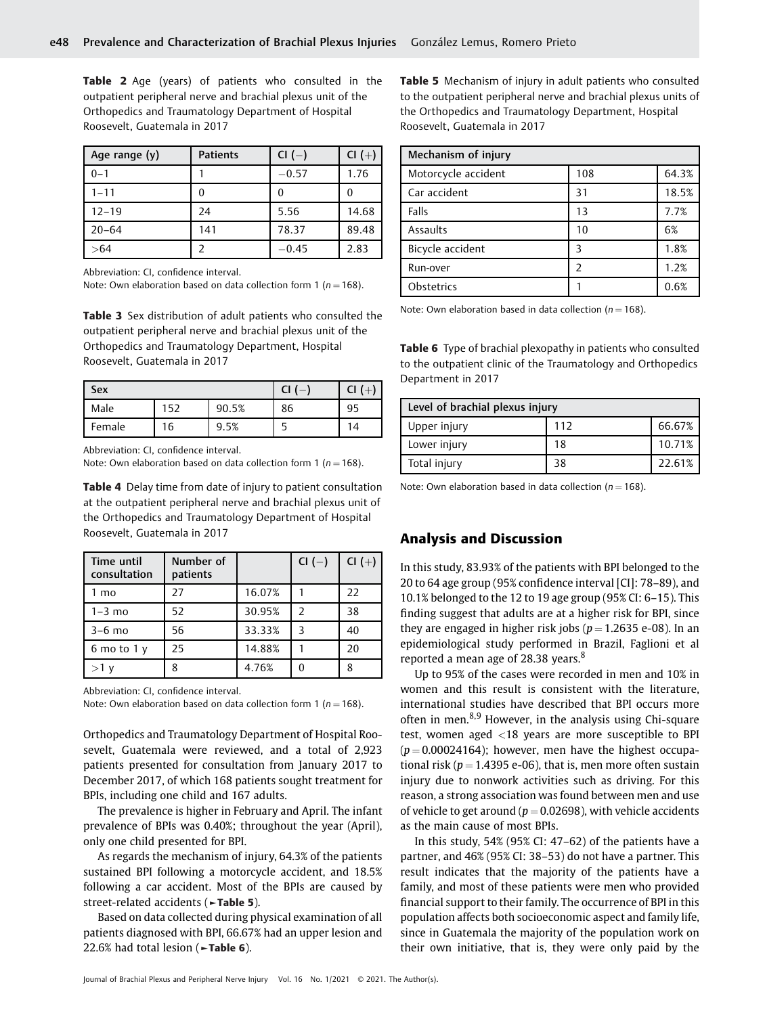Table 2 Age (years) of patients who consulted in the outpatient peripheral nerve and brachial plexus unit of the Orthopedics and Traumatology Department of Hospital Roosevelt, Guatemala in 2017

| Age range (y) | <b>Patients</b> | $CI(-)$ | $CI(+)$ |
|---------------|-----------------|---------|---------|
| $0 - 1$       |                 | $-0.57$ | 1.76    |
| $1 - 11$      |                 | U       |         |
| $12 - 19$     | 24              | 5.56    | 14.68   |
| $20 - 64$     | 141             | 78.37   | 89.48   |
| > 64          |                 | $-0.45$ | 2.83    |

Abbreviation: CI, confidence interval.

Note: Own elaboration based on data collection form 1 ( $n = 168$ ).

Table 3 Sex distribution of adult patients who consulted the outpatient peripheral nerve and brachial plexus unit of the Orthopedics and Traumatology Department, Hospital Roosevelt, Guatemala in 2017

| Sex    |     |       | ้  |    |
|--------|-----|-------|----|----|
| Male   | 152 | 90.5% | 86 | 95 |
| Female | 16  | 9.5%  |    | 14 |

Abbreviation: CI, confidence interval.

Note: Own elaboration based on data collection form 1 ( $n = 168$ ).

Table 4 Delay time from date of injury to patient consultation at the outpatient peripheral nerve and brachial plexus unit of the Orthopedics and Traumatology Department of Hospital Roosevelt, Guatemala in 2017

| Time until<br>consultation | Number of<br>patients |        | CI $(-)$ | $CI (+)$ |
|----------------------------|-----------------------|--------|----------|----------|
| 1 mo                       | 27                    | 16.07% |          | 22       |
| $1-3$ mo                   | 52                    | 30.95% |          | 38       |
| $3-6$ mo                   | 56                    | 33.33% |          | 40       |
| 6 mo to 1 $v$              | 25                    | 14.88% |          | 20       |
| $>1$ v                     | 8                     | 4.76%  |          |          |

Abbreviation: CI, confidence interval.

Note: Own elaboration based on data collection form 1 ( $n = 168$ ).

Orthopedics and Traumatology Department of Hospital Roosevelt, Guatemala were reviewed, and a total of 2,923 patients presented for consultation from January 2017 to December 2017, of which 168 patients sought treatment for BPIs, including one child and 167 adults.

The prevalence is higher in February and April. The infant prevalence of BPIs was 0.40%; throughout the year (April), only one child presented for BPI.

As regards the mechanism of injury, 64.3% of the patients sustained BPI following a motorcycle accident, and 18.5% following a car accident. Most of the BPIs are caused by street-related accidents (►Table 5).

Based on data collected during physical examination of all patients diagnosed with BPI, 66.67% had an upper lesion and 22.6% had total lesion (►Table 6).

Table 5 Mechanism of injury in adult patients who consulted to the outpatient peripheral nerve and brachial plexus units of the Orthopedics and Traumatology Department, Hospital Roosevelt, Guatemala in 2017

| Mechanism of injury |     |       |
|---------------------|-----|-------|
| Motorcycle accident | 108 | 64.3% |
| Car accident        | 31  | 18.5% |
| Falls               | 13  | 7.7%  |
| Assaults            | 10  | 6%    |
| Bicycle accident    | 3   | 1.8%  |
| Run-over            | フ   | 1.2%  |
| Obstetrics          |     | 0.6%  |

Note: Own elaboration based in data collection ( $n = 168$ ).

Table 6 Type of brachial plexopathy in patients who consulted to the outpatient clinic of the Traumatology and Orthopedics Department in 2017

| Level of brachial plexus injury |     |        |  |
|---------------------------------|-----|--------|--|
| Upper injury                    | 112 | 66.67% |  |
| Lower injury                    | 18  | 10.71% |  |
| Total injury                    | 38  | 22.61% |  |

Note: Own elaboration based in data collection ( $n = 168$ ).

### Analysis and Discussion

In this study, 83.93% of the patients with BPI belonged to the 20 to 64 age group (95% confidence interval [CI]: 78–89), and 10.1% belonged to the 12 to 19 age group (95% CI: 6–15). This finding suggest that adults are at a higher risk for BPI, since they are engaged in higher risk jobs ( $p = 1.2635$  e-08). In an epidemiological study performed in Brazil, Faglioni et al reported a mean age of 28.38 years.<sup>8</sup>

Up to 95% of the cases were recorded in men and 10% in women and this result is consistent with the literature, international studies have described that BPI occurs more often in men.<sup>8,9</sup> However, in the analysis using Chi-square test, women aged <18 years are more susceptible to BPI  $(p = 0.00024164)$ ; however, men have the highest occupational risk ( $p = 1.4395$  e-06), that is, men more often sustain injury due to nonwork activities such as driving. For this reason, a strong association was found between men and use of vehicle to get around ( $p = 0.02698$ ), with vehicle accidents as the main cause of most BPIs.

In this study, 54% (95% CI: 47–62) of the patients have a partner, and 46% (95% CI: 38–53) do not have a partner. This result indicates that the majority of the patients have a family, and most of these patients were men who provided financial support to their family. The occurrence of BPI in this population affects both socioeconomic aspect and family life, since in Guatemala the majority of the population work on their own initiative, that is, they were only paid by the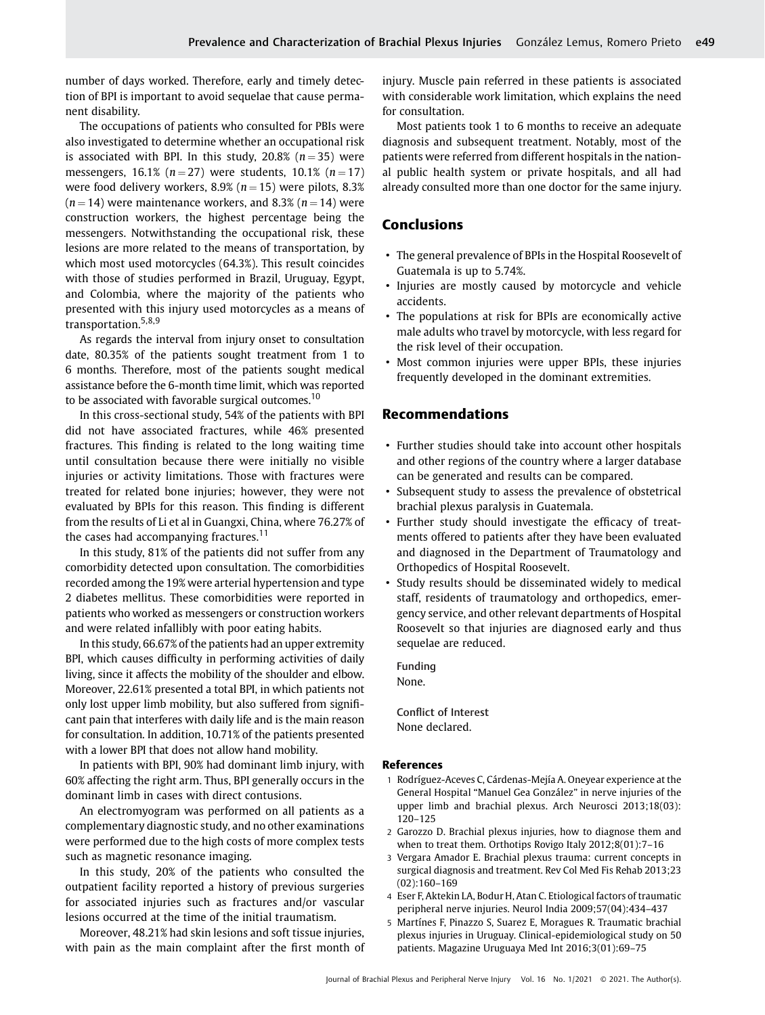number of days worked. Therefore, early and timely detection of BPI is important to avoid sequelae that cause permanent disability.

The occupations of patients who consulted for PBIs were also investigated to determine whether an occupational risk is associated with BPI. In this study,  $20.8\%$  ( $n = 35$ ) were messengers, 16.1% ( $n = 27$ ) were students, 10.1% ( $n = 17$ ) were food delivery workers, 8.9% ( $n = 15$ ) were pilots, 8.3%  $(n = 14)$  were maintenance workers, and 8.3%  $(n = 14)$  were construction workers, the highest percentage being the messengers. Notwithstanding the occupational risk, these lesions are more related to the means of transportation, by which most used motorcycles (64.3%). This result coincides with those of studies performed in Brazil, Uruguay, Egypt, and Colombia, where the majority of the patients who presented with this injury used motorcycles as a means of transportation.<sup>5,8,9</sup>

As regards the interval from injury onset to consultation date, 80.35% of the patients sought treatment from 1 to 6 months. Therefore, most of the patients sought medical assistance before the 6-month time limit, which was reported to be associated with favorable surgical outcomes.<sup>10</sup>

In this cross-sectional study, 54% of the patients with BPI did not have associated fractures, while 46% presented fractures. This finding is related to the long waiting time until consultation because there were initially no visible injuries or activity limitations. Those with fractures were treated for related bone injuries; however, they were not evaluated by BPIs for this reason. This finding is different from the results of Li et al in Guangxi, China, where 76.27% of the cases had accompanying fractures.<sup>11</sup>

In this study, 81% of the patients did not suffer from any comorbidity detected upon consultation. The comorbidities recorded among the 19% were arterial hypertension and type 2 diabetes mellitus. These comorbidities were reported in patients who worked as messengers or construction workers and were related infallibly with poor eating habits.

In this study, 66.67% of the patients had an upper extremity BPI, which causes difficulty in performing activities of daily living, since it affects the mobility of the shoulder and elbow. Moreover, 22.61% presented a total BPI, in which patients not only lost upper limb mobility, but also suffered from significant pain that interferes with daily life and is the main reason for consultation. In addition, 10.71% of the patients presented with a lower BPI that does not allow hand mobility.

In patients with BPI, 90% had dominant limb injury, with 60% affecting the right arm. Thus, BPI generally occurs in the dominant limb in cases with direct contusions.

An electromyogram was performed on all patients as a complementary diagnostic study, and no other examinations were performed due to the high costs of more complex tests such as magnetic resonance imaging.

In this study, 20% of the patients who consulted the outpatient facility reported a history of previous surgeries for associated injuries such as fractures and/or vascular lesions occurred at the time of the initial traumatism.

Moreover, 48.21% had skin lesions and soft tissue injuries, with pain as the main complaint after the first month of injury. Muscle pain referred in these patients is associated with considerable work limitation, which explains the need for consultation.

Most patients took 1 to 6 months to receive an adequate diagnosis and subsequent treatment. Notably, most of the patients were referred from different hospitals in the national public health system or private hospitals, and all had already consulted more than one doctor for the same injury.

## Conclusions

- The general prevalence of BPIs in the Hospital Roosevelt of Guatemala is up to 5.74%.
- Injuries are mostly caused by motorcycle and vehicle accidents.
- The populations at risk for BPIs are economically active male adults who travel by motorcycle, with less regard for the risk level of their occupation.
- Most common injuries were upper BPIs, these injuries frequently developed in the dominant extremities.

## Recommendations

- Further studies should take into account other hospitals and other regions of the country where a larger database can be generated and results can be compared.
- Subsequent study to assess the prevalence of obstetrical brachial plexus paralysis in Guatemala.
- Further study should investigate the efficacy of treatments offered to patients after they have been evaluated and diagnosed in the Department of Traumatology and Orthopedics of Hospital Roosevelt.
- Study results should be disseminated widely to medical staff, residents of traumatology and orthopedics, emergency service, and other relevant departments of Hospital Roosevelt so that injuries are diagnosed early and thus sequelae are reduced.

| Funding |  |
|---------|--|
| None.   |  |

Conflict of Interest None declared.

#### References

- 1 Rodríguez-Aceves C, Cárdenas-Mejía A. Oneyear experience at the General Hospital "Manuel Gea González" in nerve injuries of the upper limb and brachial plexus. Arch Neurosci 2013;18(03): 120–125
- 2 Garozzo D. Brachial plexus injuries, how to diagnose them and when to treat them. Orthotips Rovigo Italy 2012;8(01):7–16
- 3 Vergara Amador E. Brachial plexus trauma: current concepts in surgical diagnosis and treatment. Rev Col Med Fis Rehab 2013;23 (02):160–169
- 4 Eser F, Aktekin LA, Bodur H, Atan C. Etiological factors of traumatic peripheral nerve injuries. Neurol India 2009;57(04):434–437
- 5 Martínes F, Pinazzo S, Suarez E, Moragues R. Traumatic brachial plexus injuries in Uruguay. Clinical-epidemiological study on 50 patients. Magazine Uruguaya Med Int 2016;3(01):69–75